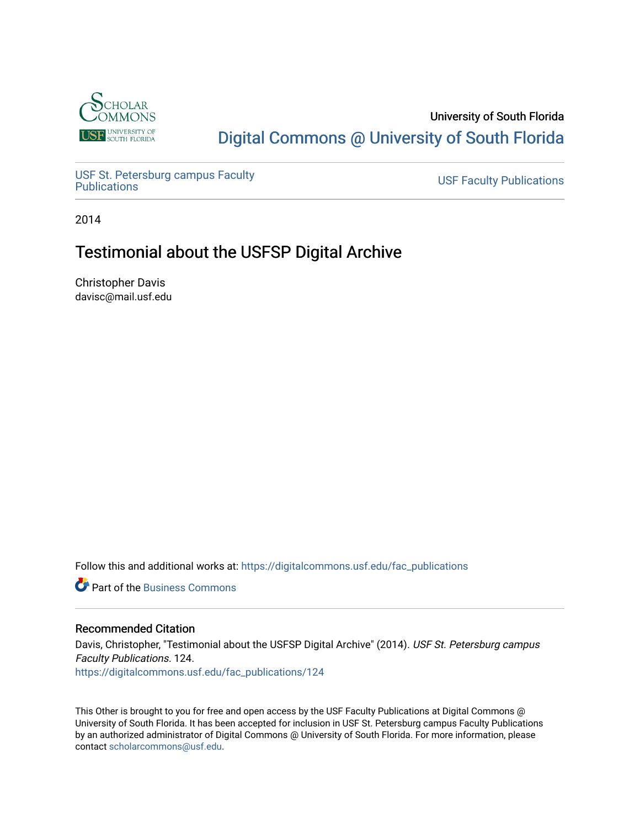

## University of South Florida [Digital Commons @ University of South Florida](https://digitalcommons.usf.edu/)

USF St. Petersburg campus Faculty<br>Publications

**USF Faculty Publications** 

2014

## Testimonial about the USFSP Digital Archive

Christopher Davis davisc@mail.usf.edu

Follow this and additional works at: [https://digitalcommons.usf.edu/fac\\_publications](https://digitalcommons.usf.edu/fac_publications?utm_source=digitalcommons.usf.edu%2Ffac_publications%2F124&utm_medium=PDF&utm_campaign=PDFCoverPages)

**C** Part of the [Business Commons](http://network.bepress.com/hgg/discipline/622?utm_source=digitalcommons.usf.edu%2Ffac_publications%2F124&utm_medium=PDF&utm_campaign=PDFCoverPages)

## Recommended Citation

Davis, Christopher, "Testimonial about the USFSP Digital Archive" (2014). USF St. Petersburg campus Faculty Publications. 124. [https://digitalcommons.usf.edu/fac\\_publications/124](https://digitalcommons.usf.edu/fac_publications/124?utm_source=digitalcommons.usf.edu%2Ffac_publications%2F124&utm_medium=PDF&utm_campaign=PDFCoverPages)

This Other is brought to you for free and open access by the USF Faculty Publications at Digital Commons @ University of South Florida. It has been accepted for inclusion in USF St. Petersburg campus Faculty Publications by an authorized administrator of Digital Commons @ University of South Florida. For more information, please contact [scholarcommons@usf.edu](mailto:scholarcommons@usf.edu).